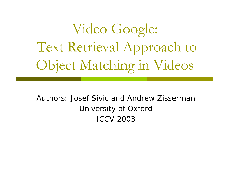Video Google: Text Retrieval Approach to Object Matching in Videos

### Authors: Josef Sivic and Andrew Zisserman University of Oxford ICCV 2003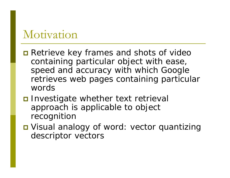### Motivation

- **n** Retrieve key frames and shots of video containing particular object with ease, speed and accuracy with which Google retrieves web pages containing particular words
- **O** Investigate whether text retrieval approach is applicable to object recognition
- Visual analogy of word: vector quantizing descriptor vectors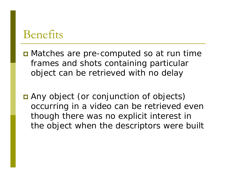### Benefits

- **D** Matches are pre-computed so at run time frames and shots containing particular object can be retrieved with no delay
- Any object (or conjunction of objects) occurring in a video can be retrieved even though there was no explicit interest in the object when the descriptors were built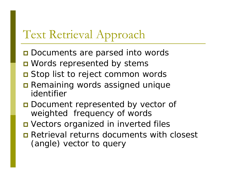# Text Retrieval Approach

- **O** Documents are parsed into words
- **O** Words represented by stems
- Stop list to reject common words
- **Remaining words assigned unique** identifier
- **ODECOMENT REPRESENTED BY VECTOR OF** weighted frequency of words
- **D** Vectors organized in inverted files
- **□** Retrieval returns documents with closest (angle) vector to query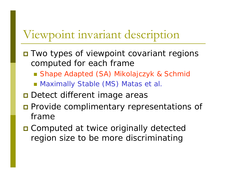### Viewpoint invariant description

- **O** Two types of viewpoint covariant regions computed for each frame
	- Shape Adapted (SA) Mikolajczyk & Schmid
	- **Maximally Stable (MS) Matas et al.**
- **D** Detect different image areas
- **Provide complimentary representations of** frame
- **O** Computed at twice originally detected region size to be more discriminating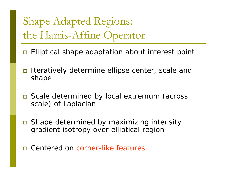# Shape Adapted Regions: the Harris-Affine Operator

- $\Box$ Elliptical shape adaptation about interest point
- $\Box$  Iteratively determine ellipse center, scale and shape
- Scale determined by local extremum (across scale) of Laplacian
- Shape determined by maximizing intensity gradient isotropy over elliptical region
- Centered on corner-like features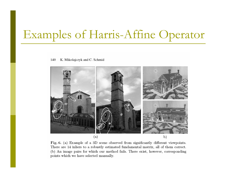# Examples of Harris-Affine Operator

140 K. Mikolajczyk and C. Schmid



Fig. 6. (a) Example of a 3D scene observed from significantly different viewpoints. There are 14 inliers to a robustly estimated fundamental matrix, all of them correct. (b) An image pairs for which our method fails. There exist, however, corresponding points which we have selected manually.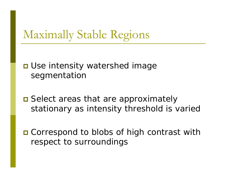## Maximally Stable Regions

### **O** Use intensity watershed image segmentation

**□** Select areas that are approximately stationary as intensity threshold is varied

■ Correspond to blobs of high contrast with respect to surroundings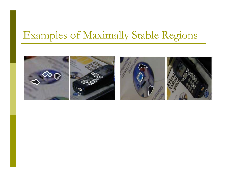### Examples of Maximally Stable Regions

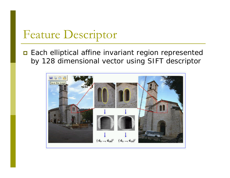### Feature Descriptor

**Each elliptical affine invariant region represented** by 128 dimensional vector using SIFT descriptor

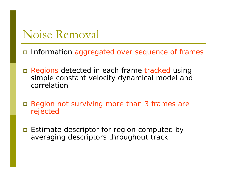### Noise Removal

- Information aggregated over sequence of frames
- Regions detected in each frame tracked using simple constant velocity dynamical model and correlation
- $\Box$  Region not surviving more than 3 frames are rejected
- **E** Estimate descriptor for region computed by averaging descriptors throughout track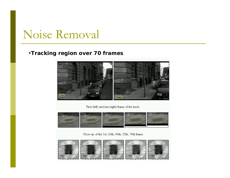### Noise Removal

#### •**Tracking region over 70 frames**



First (left) and last (right) frame of the track.



Close-up of the 1st, 20th, 40th, 55th, 70th frame.

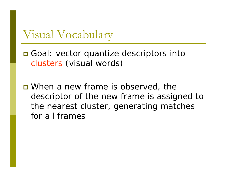Visual Vocabulary

**O** Goal: vector quantize descriptors into clusters (visual words)

**D** When a new frame is observed, the descriptor of the new frame is assigned to the nearest cluster, generating matches for all frames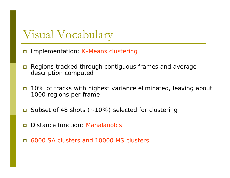### Visual Vocabulary

- $\Box$ Implementation: K-Means clustering
- $\Box$  Regions tracked through contiguous frames and average description computed
- $\Box$  10% of tracks with highest variance eliminated, leaving about 1000 regions per frame
- $\Box$ Subset of 48 shots (~10%) selected for clustering
- Ξ Distance function: Mahalanobis
- Ξ 6000 SA clusters and 10000 MS clusters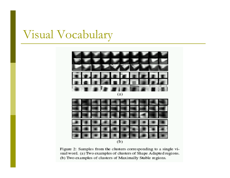## Visual Vocabulary



Figure 2: Samples from the clusters corresponding to a single visual word. (a) Two examples of clusters of Shape Adapted regions. (b) Two examples of clusters of Maximally Stable regions.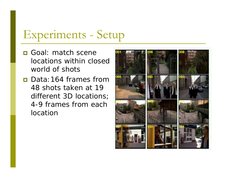## Experiments - Setup

- **<u>n</u>** Goal: match scene locations within closed world of shots
- **□** Data:164 frames from 48 shots taken at 19 different 3D locations; 4-9 frames from each location

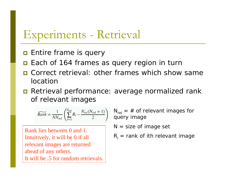### Experiments - Retrieval

- $\blacksquare$  Entire frame is query
- $\blacksquare$ Each of 164 frames as query region in turn
- **D** Correct retrieval: other frames which show same location
- Retrieval performance: average normalized rank of relevant images

$$
\widetilde{Rank} = \frac{1}{NN_{rel}} \left( \sum_{i=1}^{N_{rel}} R_i - \frac{N_{rel}(N_{rel}+1)}{2} \right)
$$

Rank lies between 0 and 1. Intuitively, it will be 0 if all relevant images are returned ahead of any others. It will be .5 for random retrievals.

 $\bm{\mathsf{N}}_{\sf rel}$  = # of relevant images for query image

 $N =$  size of image set

$$
R_i
$$
 = rank of ith relevant image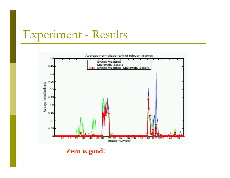### Experiment - Results



**Zero is good!**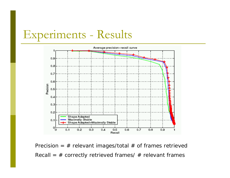## Experiments - Results



Precision =  $#$  relevant images/total  $#$  of frames retrieved Recall = # co r rectly retrieved frames/ # relevant frames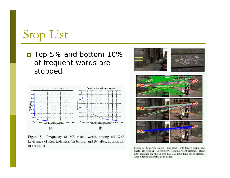# Stop List

■ Top 5% and bottom 10% of frequent words are stopped



Figure 5: Frequency of MS visual words among all 3768 keyframes of Run Lola Run (a) before, and (b) after, application of a stoplist.



Figure 6: Matching stages. Top row: (left) Query region and (right) its close-up. Second row: Original word matches. Third row: matches after using stop-list, Last row: Final set of matches after filtering on spatial consistency.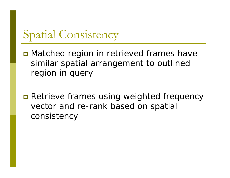## Spatial Consistency

**O** Matched region in retrieved frames have similar spatial arrangement to outlined region in query

**n** Retrieve frames using weighted frequency vector and re-rank based on spatial consistency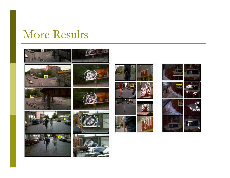### More Results